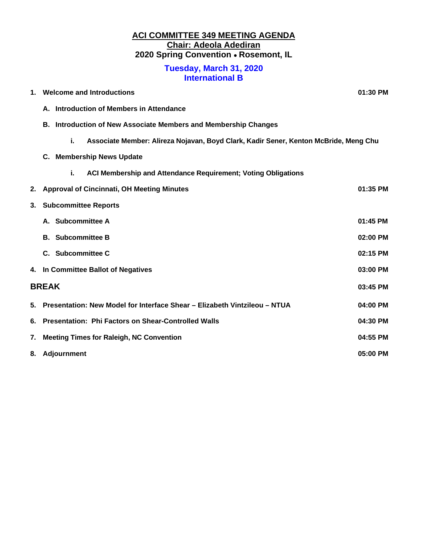## **ACI COMMITTEE 349 MEETING AGENDA Chair: Adeola Adediran 2020 Spring Convention Rosemont, IL**

#### **Tuesday, March 31, 2020 International B**

| 1.           | <b>Welcome and Introductions</b>                                                           | 01:30 PM   |
|--------------|--------------------------------------------------------------------------------------------|------------|
|              | A. Introduction of Members in Attendance                                                   |            |
|              | Introduction of New Associate Members and Membership Changes<br>В.                         |            |
|              | i.<br>Associate Member: Alireza Nojavan, Boyd Clark, Kadir Sener, Kenton McBride, Meng Chu |            |
|              | C. Membership News Update                                                                  |            |
|              | i.<br>ACI Membership and Attendance Requirement; Voting Obligations                        |            |
| 2.           | <b>Approval of Cincinnati, OH Meeting Minutes</b>                                          | $01:35$ PM |
| 3.           | <b>Subcommittee Reports</b>                                                                |            |
|              | A. Subcommittee A                                                                          | 01:45 PM   |
|              | <b>B.</b> Subcommittee B                                                                   | 02:00 PM   |
|              | C. Subcommittee C                                                                          | 02:15 PM   |
|              | 4. In Committee Ballot of Negatives                                                        | 03:00 PM   |
| <b>BREAK</b> |                                                                                            | 03:45 PM   |
|              | 5. Presentation: New Model for Interface Shear - Elizabeth Vintzileou - NTUA               | 04:00 PM   |
|              | 6. Presentation: Phi Factors on Shear-Controlled Walls                                     | 04:30 PM   |
| 7.           | <b>Meeting Times for Raleigh, NC Convention</b>                                            | 04:55 PM   |
|              | 8. Adjournment                                                                             | 05:00 PM   |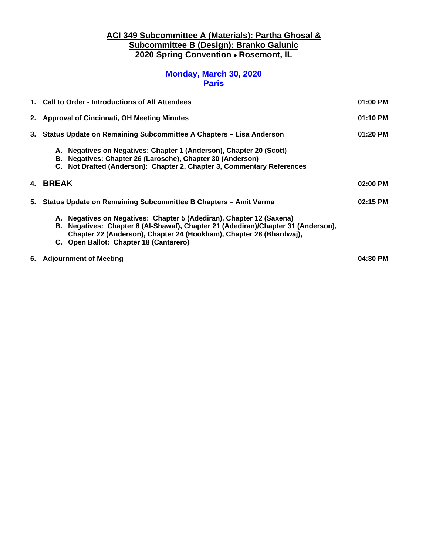## **ACI 349 Subcommittee A (Materials): Partha Ghosal & Subcommittee B (Design): Branko Galunic 2020 Spring Convention Rosemont, IL**

## **Monday, March 30, 2020 Paris**

| 1. Call to Order - Introductions of All Attendees                                                                                                                                                                                                                          | 01:00 PM |
|----------------------------------------------------------------------------------------------------------------------------------------------------------------------------------------------------------------------------------------------------------------------------|----------|
| 2. Approval of Cincinnati, OH Meeting Minutes                                                                                                                                                                                                                              | 01:10 PM |
| 3. Status Update on Remaining Subcommittee A Chapters - Lisa Anderson                                                                                                                                                                                                      | 01:20 PM |
| A. Negatives on Negatives: Chapter 1 (Anderson), Chapter 20 (Scott)<br>B. Negatives: Chapter 26 (Larosche), Chapter 30 (Anderson)<br>C. Not Drafted (Anderson): Chapter 2, Chapter 3, Commentary References                                                                |          |
| 4. BREAK                                                                                                                                                                                                                                                                   | 02:00 PM |
| 5. Status Update on Remaining Subcommittee B Chapters - Amit Varma                                                                                                                                                                                                         | 02:15 PM |
| A. Negatives on Negatives: Chapter 5 (Adediran), Chapter 12 (Saxena)<br>B. Negatives: Chapter 8 (Al-Shawaf), Chapter 21 (Adediran)/Chapter 31 (Anderson),<br>Chapter 22 (Anderson), Chapter 24 (Hookham), Chapter 28 (Bhardwaj),<br>C. Open Ballot: Chapter 18 (Cantarero) |          |
| 6. Adjournment of Meeting                                                                                                                                                                                                                                                  | 04:30 PM |